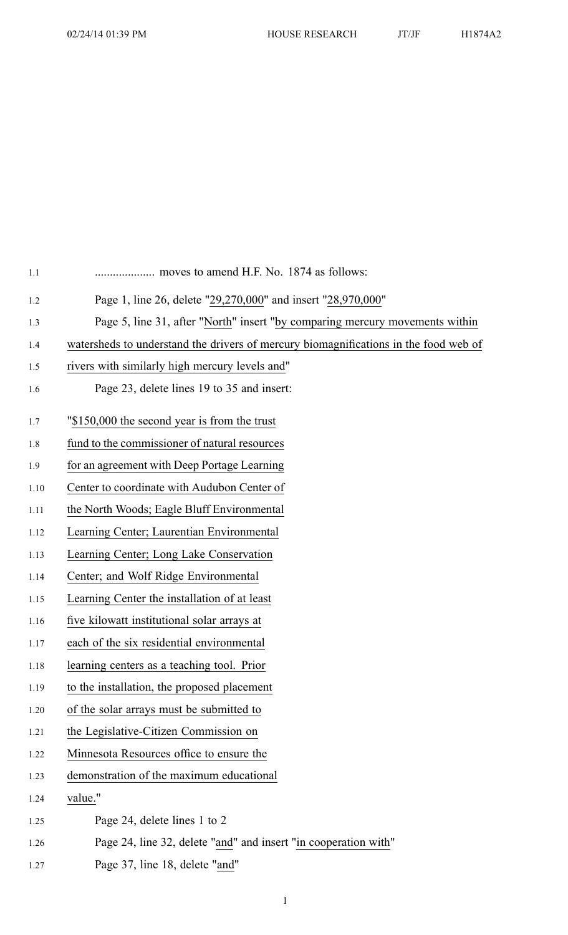| moves to amend H.F. No. 1874 as follows:                                             |
|--------------------------------------------------------------------------------------|
| Page 1, line 26, delete "29,270,000" and insert "28,970,000"                         |
| Page 5, line 31, after "North" insert "by comparing mercury movements within         |
| watersheds to understand the drivers of mercury biomagnifications in the food web of |
| rivers with similarly high mercury levels and"                                       |
| Page 23, delete lines 19 to 35 and insert:                                           |
| "\$150,000 the second year is from the trust                                         |
| fund to the commissioner of natural resources                                        |
| for an agreement with Deep Portage Learning                                          |
| Center to coordinate with Audubon Center of                                          |
| the North Woods; Eagle Bluff Environmental                                           |
| Learning Center; Laurentian Environmental                                            |
| Learning Center; Long Lake Conservation                                              |
| Center; and Wolf Ridge Environmental                                                 |
| Learning Center the installation of at least                                         |
| five kilowatt institutional solar arrays at                                          |
| each of the six residential environmental                                            |
| learning centers as a teaching tool. Prior                                           |
| to the installation, the proposed placement                                          |
| of the solar arrays must be submitted to                                             |
| the Legislative-Citizen Commission on                                                |
| Minnesota Resources office to ensure the                                             |
| demonstration of the maximum educational                                             |
| value."                                                                              |
| Page 24, delete lines 1 to 2                                                         |
| Page 24, line 32, delete "and" and insert "in cooperation with"                      |
| Page 37, line 18, delete "and"                                                       |

1